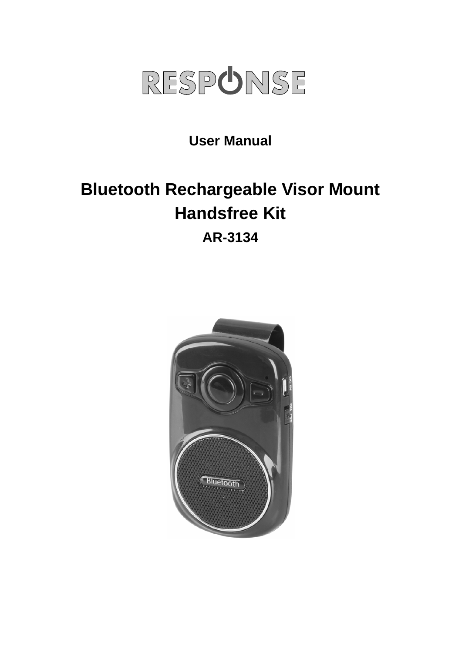

**User Manual** 

# **Bluetooth Rechargeable Visor Mount Handsfree Kit**

**AR-3134** 

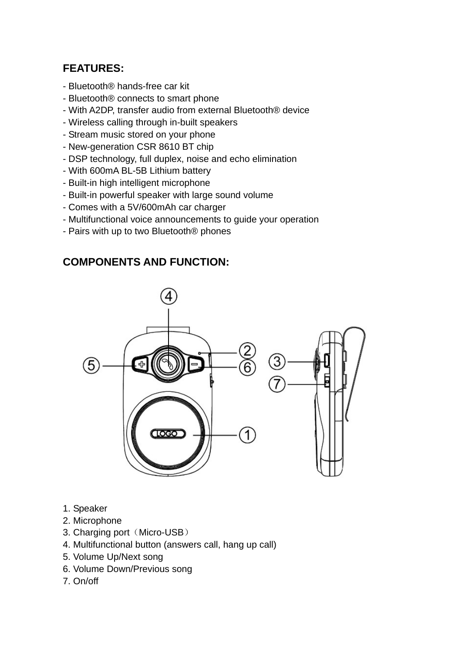## **FEATURES:**

- Bluetooth® hands-free car kit
- Bluetooth® connects to smart phone
- With A2DP, transfer audio from external Bluetooth® device
- Wireless calling through in-built speakers
- Stream music stored on your phone
- New-generation CSR 8610 BT chip
- DSP technology, full duplex, noise and echo elimination
- With 600mA BL-5B Lithium battery
- Built-in high intelligent microphone
- Built-in powerful speaker with large sound volume
- Comes with a 5V/600mAh car charger
- Multifunctional voice announcements to guide your operation
- Pairs with up to two Bluetooth® phones

## **COMPONENTS AND FUNCTION:**



- 1. Speaker
- 2. Microphone
- 3. Charging port (Micro-USB)
- 4. Multifunctional button (answers call, hang up call)
- 5. Volume Up/Next song
- 6. Volume Down/Previous song
- 7. On/off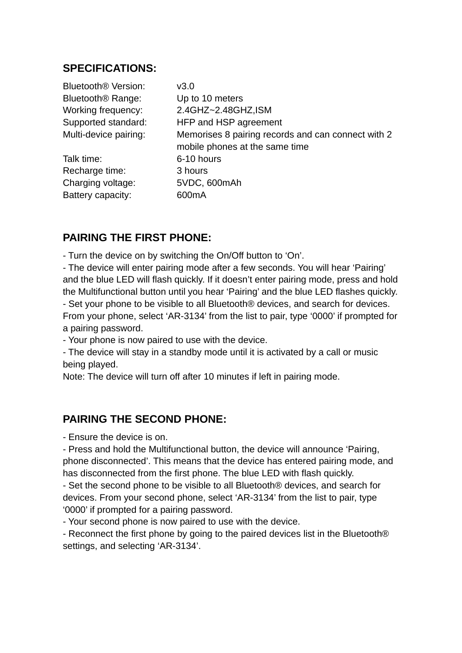### **SPECIFICATIONS:**

| Bluetooth <sup>®</sup> Version: | v3.0                                               |
|---------------------------------|----------------------------------------------------|
| Bluetooth <sup>®</sup> Range:   | Up to 10 meters                                    |
| Working frequency:              | 2.4GHZ~2.48GHZ,ISM                                 |
| Supported standard:             | HFP and HSP agreement                              |
| Multi-device pairing:           | Memorises 8 pairing records and can connect with 2 |
|                                 | mobile phones at the same time                     |
| Talk time:                      | 6-10 hours                                         |
| Recharge time:                  | 3 hours                                            |
| Charging voltage:               | 5VDC, 600mAh                                       |
| Battery capacity:               | 600mA                                              |
|                                 |                                                    |

## **PAIRING THE FIRST PHONE:**

- Turn the device on by switching the On/Off button to 'On'.

- The device will enter pairing mode after a few seconds. You will hear 'Pairing' and the blue LED will flash quickly. If it doesn't enter pairing mode, press and hold the Multifunctional button until you hear 'Pairing' and the blue LED flashes quickly. - Set your phone to be visible to all Bluetooth® devices, and search for devices. From your phone, select 'AR-3134' from the list to pair, type '0000' if prompted for a pairing password.

- Your phone is now paired to use with the device.

- The device will stay in a standby mode until it is activated by a call or music being played.

Note: The device will turn off after 10 minutes if left in pairing mode.

#### **PAIRING THE SECOND PHONE:**

- Ensure the device is on.

- Press and hold the Multifunctional button, the device will announce 'Pairing, phone disconnected'. This means that the device has entered pairing mode, and has disconnected from the first phone. The blue LED with flash quickly.

- Set the second phone to be visible to all Bluetooth® devices, and search for devices. From your second phone, select 'AR-3134' from the list to pair, type '0000' if prompted for a pairing password.

- Your second phone is now paired to use with the device.

- Reconnect the first phone by going to the paired devices list in the Bluetooth® settings, and selecting 'AR-3134'.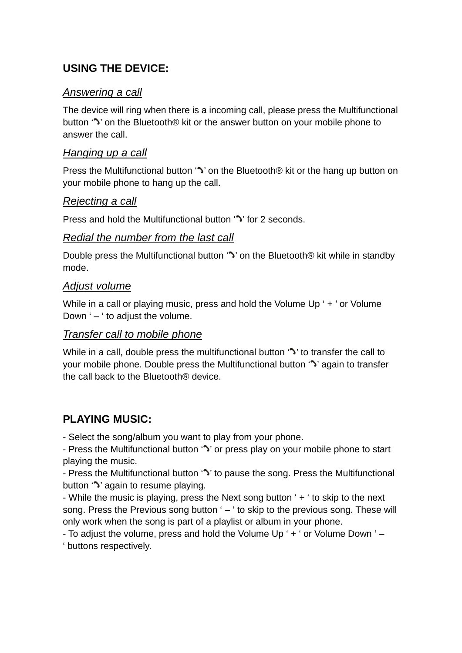## **USING THE DEVICE:**

#### *Answering a call*

The device will ring when there is a incoming call, please press the Multifunctional button '<sup>\*</sup>' on the Bluetooth<sup>®</sup> kit or the answer button on your mobile phone to answer the call.

#### *Hanging up a call*

Press the Multifunctional button '" on the Bluetooth® kit or the hang up button on your mobile phone to hang up the call.

#### *Rejecting a call*

Press and hold the Multifunctional button '<sup>1</sup>' for 2 seconds.

#### *Redial the number from the last call*

Double press the Multifunctional button '" on the Bluetooth® kit while in standby mode.

#### *Adjust volume*

While in a call or playing music, press and hold the Volume Up ' + ' or Volume Down  $-$  ' to adjust the volume.

#### *Transfer call to mobile phone*

While in a call, double press the multifunctional button '<sup>\*</sup> to transfer the call to your mobile phone. Double press the Multifunctional button ' ' again to transfer the call back to the Bluetooth® device.

## **PLAYING MUSIC:**

- Select the song/album you want to play from your phone.

- Press the Multifunctional button ' $\sim$ ' or press play on your mobile phone to start playing the music.

- Press the Multifunctional button '" to pause the song. Press the Multifunctional button ' $\sim$ ' again to resume playing.

- While the music is playing, press the Next song button ' + ' to skip to the next song. Press the Previous song button ' – ' to skip to the previous song. These will only work when the song is part of a playlist or album in your phone.

- To adjust the volume, press and hold the Volume Up ' + ' or Volume Down ' – ' buttons respectively.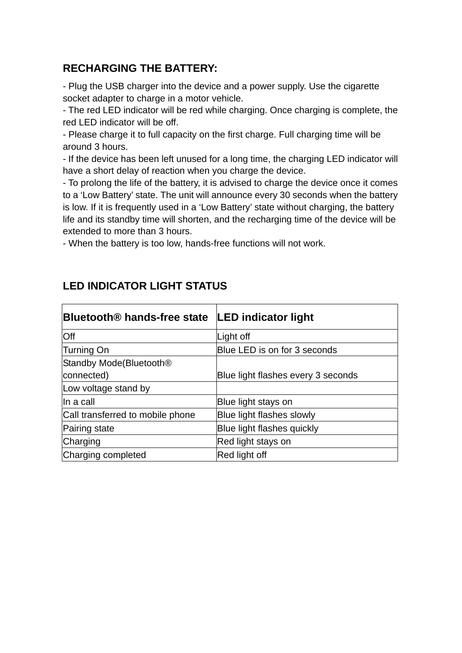## **RECHARGING THE BATTERY:**

- Plug the USB charger into the device and a power supply. Use the cigarette socket adapter to charge in a motor vehicle.

- The red LED indicator will be red while charging. Once charging is complete, the red LED indicator will be off.

- Please charge it to full capacity on the first charge. Full charging time will be around 3 hours.

- If the device has been left unused for a long time, the charging LED indicator will have a short delay of reaction when you charge the device.

- To prolong the life of the battery, it is advised to charge the device once it comes to a 'Low Battery' state. The unit will announce every 30 seconds when the battery is low. If it is frequently used in a 'Low Battery' state without charging, the battery life and its standby time will shorten, and the recharging time of the device will be extended to more than 3 hours.

- When the battery is too low, hands-free functions will not work.

| Bluetooth® hands-free state         | <b>LED indicator light</b>         |
|-------------------------------------|------------------------------------|
| Off                                 | Light off                          |
| Turning On                          | Blue LED is on for 3 seconds       |
| Standby Mode(Bluetooth <sup>®</sup> |                                    |
| connected)                          | Blue light flashes every 3 seconds |
| Low voltage stand by                |                                    |
| lln a call                          | Blue light stays on                |
| Call transferred to mobile phone    | Blue light flashes slowly          |
| Pairing state                       | Blue light flashes quickly         |
| Charging                            | Red light stays on                 |
| Charging completed                  | Red light off                      |

## **LED INDICATOR LIGHT STATUS**